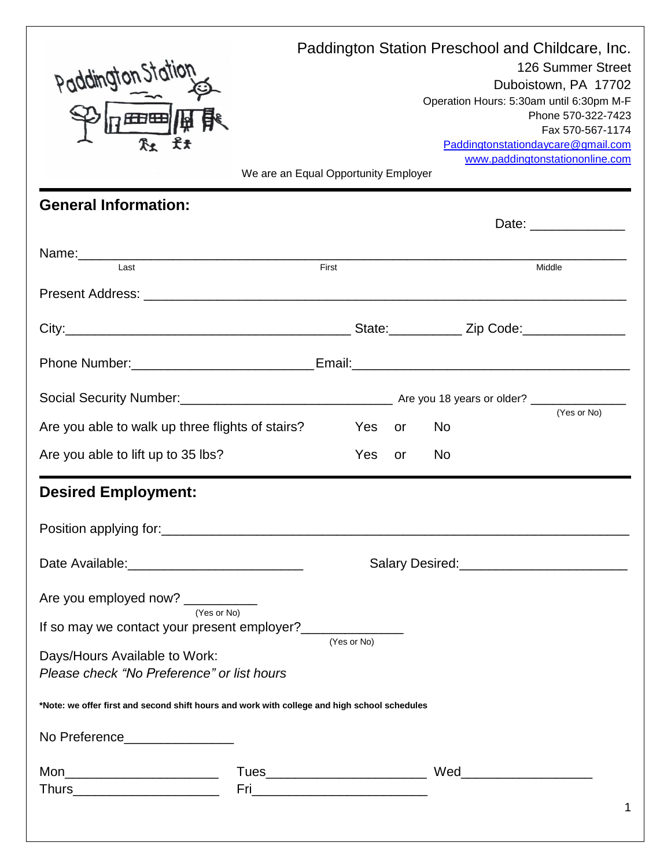| paddington?                                                                                  | We are an Equal Opportunity Employer |     |    |    | Paddington Station Preschool and Childcare, Inc.<br>126 Summer Street<br>Duboistown, PA 17702<br>Operation Hours: 5:30am until 6:30pm M-F<br>Phone 570-322-7423<br>Fax 570-567-1174<br>Paddingtonstationdaycare@gmail.com<br>www.paddingtonstationonline.com |
|----------------------------------------------------------------------------------------------|--------------------------------------|-----|----|----|--------------------------------------------------------------------------------------------------------------------------------------------------------------------------------------------------------------------------------------------------------------|
| <b>General Information:</b>                                                                  |                                      |     |    |    | Date: <u>________________</u>                                                                                                                                                                                                                                |
|                                                                                              |                                      |     |    |    |                                                                                                                                                                                                                                                              |
| Last                                                                                         | First                                |     |    |    | Middle                                                                                                                                                                                                                                                       |
|                                                                                              |                                      |     |    |    |                                                                                                                                                                                                                                                              |
|                                                                                              |                                      |     |    |    |                                                                                                                                                                                                                                                              |
|                                                                                              |                                      |     |    |    |                                                                                                                                                                                                                                                              |
|                                                                                              |                                      |     |    |    |                                                                                                                                                                                                                                                              |
| Are you able to walk up three flights of stairs?                                             |                                      | Yes | or | No | (Yes or No)                                                                                                                                                                                                                                                  |
| Are you able to lift up to 35 lbs?                                                           |                                      | Yes | or | No |                                                                                                                                                                                                                                                              |
| <b>Desired Employment:</b>                                                                   |                                      |     |    |    |                                                                                                                                                                                                                                                              |
|                                                                                              |                                      |     |    |    |                                                                                                                                                                                                                                                              |
| Date Available: _______________________________                                              |                                      |     |    |    | Salary Desired:<br><u> Salary Desired:</u>                                                                                                                                                                                                                   |
| Are you employed now? __________<br>(Yes or No)                                              |                                      |     |    |    |                                                                                                                                                                                                                                                              |
| If so may we contact your present employer?<br>$(Yes or No)$                                 |                                      |     |    |    |                                                                                                                                                                                                                                                              |
| Days/Hours Available to Work:<br>Please check "No Preference" or list hours                  |                                      |     |    |    |                                                                                                                                                                                                                                                              |
| *Note: we offer first and second shift hours and work with college and high school schedules |                                      |     |    |    |                                                                                                                                                                                                                                                              |
| No Preference__________________                                                              |                                      |     |    |    |                                                                                                                                                                                                                                                              |
| Mon__________________________                                                                |                                      |     |    |    | 1                                                                                                                                                                                                                                                            |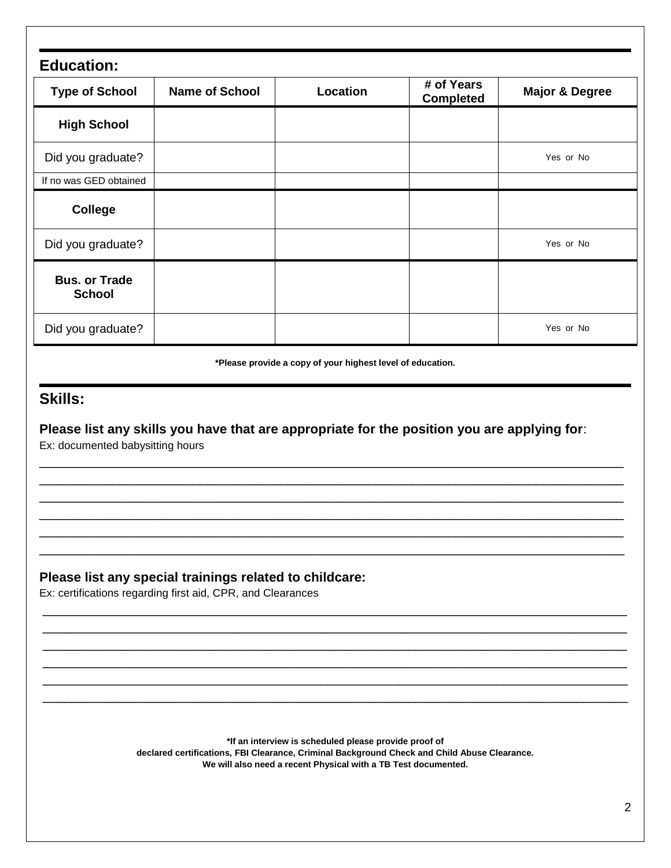| <b>Education:</b>                     |                       |          |                                |                           |
|---------------------------------------|-----------------------|----------|--------------------------------|---------------------------|
| <b>Type of School</b>                 | <b>Name of School</b> | Location | # of Years<br><b>Completed</b> | <b>Major &amp; Degree</b> |
| <b>High School</b>                    |                       |          |                                |                           |
| Did you graduate?                     |                       |          |                                | Yes or No                 |
| If no was GED obtained                |                       |          |                                |                           |
| <b>College</b>                        |                       |          |                                |                           |
| Did you graduate?                     |                       |          |                                | Yes or No                 |
| <b>Bus. or Trade</b><br><b>School</b> |                       |          |                                |                           |
| Did you graduate?                     |                       |          |                                | Yes or No                 |

**\*Please provide a copy of your highest level of education.**

## **Skills:**

**Please list any skills you have that are appropriate for the position you are applying for**: Ex: documented babysitting hours

\_\_\_\_\_\_\_\_\_\_\_\_\_\_\_\_\_\_\_\_\_\_\_\_\_\_\_\_\_\_\_\_\_\_\_\_\_\_\_\_\_\_\_\_\_\_\_\_\_\_\_\_\_\_\_\_\_\_\_\_\_\_\_\_\_\_\_\_\_\_\_\_\_\_\_\_\_\_\_\_ \_\_\_\_\_\_\_\_\_\_\_\_\_\_\_\_\_\_\_\_\_\_\_\_\_\_\_\_\_\_\_\_\_\_\_\_\_\_\_\_\_\_\_\_\_\_\_\_\_\_\_\_\_\_\_\_\_\_\_\_\_\_\_\_\_\_\_\_\_\_\_\_\_\_\_\_\_\_\_\_ \_\_\_\_\_\_\_\_\_\_\_\_\_\_\_\_\_\_\_\_\_\_\_\_\_\_\_\_\_\_\_\_\_\_\_\_\_\_\_\_\_\_\_\_\_\_\_\_\_\_\_\_\_\_\_\_\_\_\_\_\_\_\_\_\_\_\_\_\_\_\_\_\_\_\_\_\_\_\_\_ \_\_\_\_\_\_\_\_\_\_\_\_\_\_\_\_\_\_\_\_\_\_\_\_\_\_\_\_\_\_\_\_\_\_\_\_\_\_\_\_\_\_\_\_\_\_\_\_\_\_\_\_\_\_\_\_\_\_\_\_\_\_\_\_\_\_\_\_\_\_\_\_\_\_\_\_\_\_\_\_ \_\_\_\_\_\_\_\_\_\_\_\_\_\_\_\_\_\_\_\_\_\_\_\_\_\_\_\_\_\_\_\_\_\_\_\_\_\_\_\_\_\_\_\_\_\_\_\_\_\_\_\_\_\_\_\_\_\_\_\_\_\_\_\_\_\_\_\_\_\_\_\_\_\_\_\_\_\_\_\_ \_\_\_\_\_\_\_\_\_\_\_\_\_\_\_\_\_\_\_\_\_\_\_\_\_\_\_\_\_\_\_\_\_\_\_\_\_\_\_\_\_\_\_\_\_\_\_\_\_\_\_\_\_\_\_\_\_\_\_\_\_\_\_\_\_\_\_\_\_\_\_\_\_\_\_\_\_\_\_\_

## **Please list any special trainings related to childcare:**

Ex: certifications regarding first aid, CPR, and Clearances

**\*If an interview is scheduled please provide proof of declared certifications, FBI Clearance, Criminal Background Check and Child Abuse Clearance.** 

\_\_\_\_\_\_\_\_\_\_\_\_\_\_\_\_\_\_\_\_\_\_\_\_\_\_\_\_\_\_\_\_\_\_\_\_\_\_\_\_\_\_\_\_\_\_\_\_\_\_\_\_\_\_\_\_\_\_\_\_\_\_\_\_\_\_\_\_\_\_\_\_\_\_\_\_\_\_\_\_ \_\_\_\_\_\_\_\_\_\_\_\_\_\_\_\_\_\_\_\_\_\_\_\_\_\_\_\_\_\_\_\_\_\_\_\_\_\_\_\_\_\_\_\_\_\_\_\_\_\_\_\_\_\_\_\_\_\_\_\_\_\_\_\_\_\_\_\_\_\_\_\_\_\_\_\_\_\_\_\_ \_\_\_\_\_\_\_\_\_\_\_\_\_\_\_\_\_\_\_\_\_\_\_\_\_\_\_\_\_\_\_\_\_\_\_\_\_\_\_\_\_\_\_\_\_\_\_\_\_\_\_\_\_\_\_\_\_\_\_\_\_\_\_\_\_\_\_\_\_\_\_\_\_\_\_\_\_\_\_\_ \_\_\_\_\_\_\_\_\_\_\_\_\_\_\_\_\_\_\_\_\_\_\_\_\_\_\_\_\_\_\_\_\_\_\_\_\_\_\_\_\_\_\_\_\_\_\_\_\_\_\_\_\_\_\_\_\_\_\_\_\_\_\_\_\_\_\_\_\_\_\_\_\_\_\_\_\_\_\_\_ \_\_\_\_\_\_\_\_\_\_\_\_\_\_\_\_\_\_\_\_\_\_\_\_\_\_\_\_\_\_\_\_\_\_\_\_\_\_\_\_\_\_\_\_\_\_\_\_\_\_\_\_\_\_\_\_\_\_\_\_\_\_\_\_\_\_\_\_\_\_\_\_\_\_\_\_\_\_\_\_ \_\_\_\_\_\_\_\_\_\_\_\_\_\_\_\_\_\_\_\_\_\_\_\_\_\_\_\_\_\_\_\_\_\_\_\_\_\_\_\_\_\_\_\_\_\_\_\_\_\_\_\_\_\_\_\_\_\_\_\_\_\_\_\_\_\_\_\_\_\_\_\_\_\_\_\_\_\_\_\_

**We will also need a recent Physical with a TB Test documented.**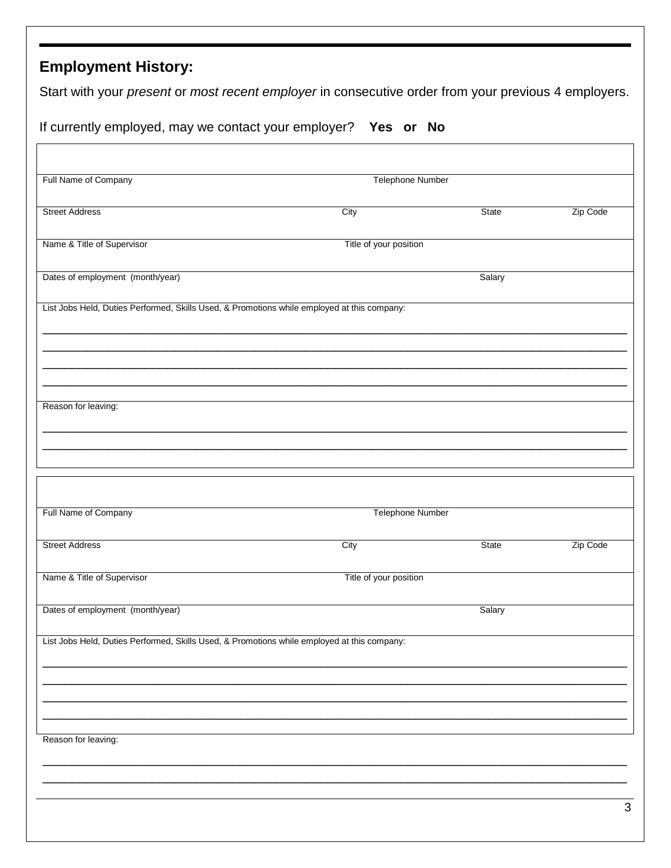## **Employment History:**

Start with your *present* or *most recent employer* in consecutive order from your previous 4 employers.

|  |  |  | If currently employed, may we contact your employer? Yes or No |  |  |
|--|--|--|----------------------------------------------------------------|--|--|
|  |  |  |                                                                |  |  |

| City                                                                                        | State        | Zip Code                                                                                        |
|---------------------------------------------------------------------------------------------|--------------|-------------------------------------------------------------------------------------------------|
|                                                                                             |              |                                                                                                 |
|                                                                                             | Salary       |                                                                                                 |
| List Jobs Held, Duties Performed, Skills Used, & Promotions while employed at this company: |              |                                                                                                 |
|                                                                                             |              |                                                                                                 |
|                                                                                             |              |                                                                                                 |
|                                                                                             |              |                                                                                                 |
|                                                                                             |              |                                                                                                 |
|                                                                                             |              |                                                                                                 |
|                                                                                             |              |                                                                                                 |
| City                                                                                        | <b>State</b> | Zip Code                                                                                        |
|                                                                                             |              |                                                                                                 |
|                                                                                             | Salary       |                                                                                                 |
| List Jobs Held, Duties Performed, Skills Used, & Promotions while employed at this company: |              |                                                                                                 |
|                                                                                             |              |                                                                                                 |
|                                                                                             |              |                                                                                                 |
|                                                                                             |              |                                                                                                 |
|                                                                                             |              |                                                                                                 |
|                                                                                             |              | Telephone Number<br>Title of your position<br><b>Telephone Number</b><br>Title of your position |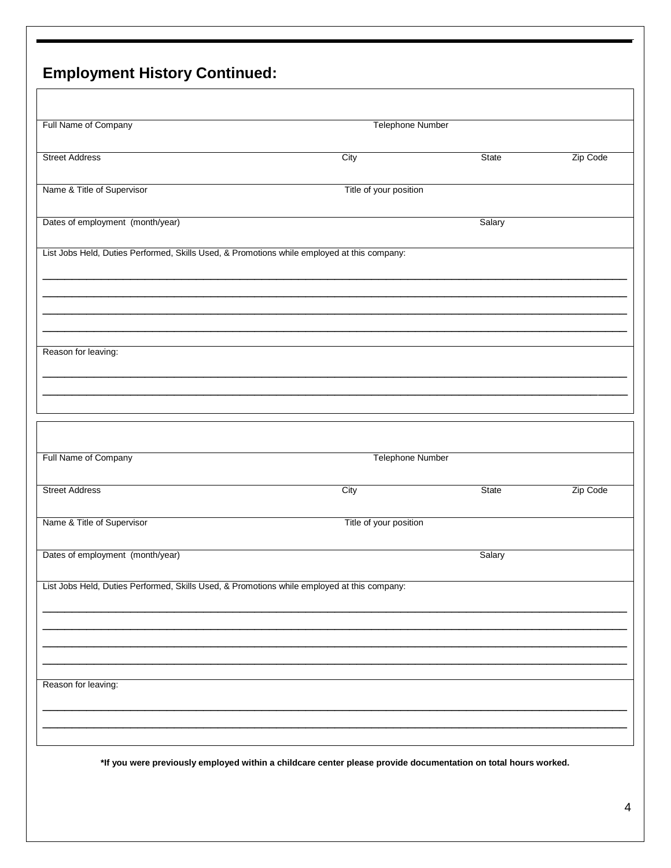## **Employment History Continued:**

| Full Name of Company                                                                        | <b>Telephone Number</b> |        |          |
|---------------------------------------------------------------------------------------------|-------------------------|--------|----------|
| <b>Street Address</b>                                                                       | City                    | State  | Zip Code |
| Name & Title of Supervisor                                                                  | Title of your position  |        |          |
| Dates of employment (month/year)                                                            |                         | Salary |          |
| List Jobs Held, Duties Performed, Skills Used, & Promotions while employed at this company: |                         |        |          |
|                                                                                             |                         |        |          |
|                                                                                             |                         |        |          |
| Reason for leaving:                                                                         |                         |        |          |
|                                                                                             |                         |        |          |
|                                                                                             |                         |        |          |
|                                                                                             |                         |        |          |
|                                                                                             |                         |        |          |
| Full Name of Company                                                                        | <b>Telephone Number</b> |        |          |
| <b>Street Address</b>                                                                       | City                    | State  | Zip Code |
| Name & Title of Supervisor                                                                  | Title of your position  |        |          |
| Dates of employment (month/year)                                                            |                         | Salary |          |
| List Jobs Held, Duties Performed, Skills Used, & Promotions while employed at this company: |                         |        |          |
|                                                                                             |                         |        |          |
|                                                                                             |                         |        |          |
|                                                                                             |                         |        |          |
| Reason for leaving:                                                                         |                         |        |          |

**\*If you were previously employed within a childcare center please provide documentation on total hours worked.**